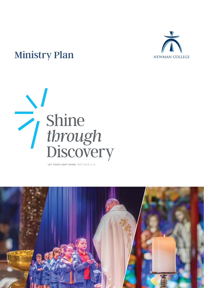

## Ministry Plan





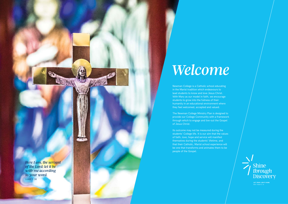*Here I am, the servant of the Lord; let it be with me according to your word.*  LUKE 1: 38

Newman College is a Catholic school educating in the Marist tradition which endeavours to lead students to know and love Jesus Christ. With Mary as our model in faith, we encourage students to grow into the fullness of their humanity in an educational environment where they feel welcomed, accepted and valued.

The Newman College Ministry Plan is designed to provide our College Community with a framework through which to engage and live-out the Gospel of Jesus Christ.

Its outcome may not be measured during the students' College life. It is our aim that the values of faith, love, hope and service will manifest themselves during the students' lifetime, and that their Catholic, Marist school experience will be one that transforms and animates them to be people of the Gospel.





**LET YOUR LIGHT SHINE**<br>MATTHEW 5:16

## *Welcome*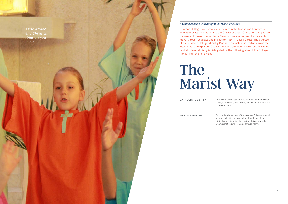*Arise, awake, and Christ will shine on you.*  EPH 5: 14

# The



Newman College is a Catholic community in the Marist tradition that is animated by its commitment to the Gospel of Jesus Christ. In having taken the name of Blessed John Henry Newman, we are inspired by the call to move 'through shadows and images to truth' in Jesus Christ. The purpose of the Newman College Ministry Plan is to animate in identifiable ways the intents that underpin our College Mission Statement. More specifically the central role of Ministry is highlighted by the following aims of the College Annual Improvement Plan.

## *A Catholic School Educating in the Marist Tradition*

To invite full participation of all members of the Newman College community into the life, mission and values of the Catholic Church. **CATHOLIC IDENTITY**

> To provide all members of the Newman College community with opportunities to deepen their knowledge of the distinctive way in which the charism of Saint Marcellin Champagnat calls 'all to Jesus through Mary'.

**MARIST CHARISM**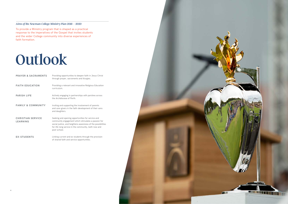To provide a Ministry program that is shaped as a practical response to the imperatives of the Gospel that invites students and the wider College community into diverse experiences of faith formation.

## *Aims of the Newman College Ministry Plan 2018 – 2020*

| <b>PRAYER &amp; SACRAMENTS</b>              | Providing opportunities to deepen faith in Jesus Christ<br>through prayer, sacraments and liturgies.                                                                                                                                             |
|---------------------------------------------|--------------------------------------------------------------------------------------------------------------------------------------------------------------------------------------------------------------------------------------------------|
| <b>FAITH EDUCATION</b>                      | Providing a relevant and innovative Religious Education<br>curriculum.                                                                                                                                                                           |
| <b>PARISH LIFE</b>                          | Actively engaging in partnerships with parishes across<br>the Archdiocese of Perth.                                                                                                                                                              |
| <b>FAMILY &amp; COMMUNITY</b>               | Inviting and supporting the involvement of parents<br>and care-givers in the faith-development of their sons<br>and daughters.                                                                                                                   |
| <b>CHRISTIAN SERVICE</b><br><b>LEARNING</b> | Seeking and opening opportunities for service and<br>community engagement which stimulates a passion for<br>social justice, and heightens awareness of the possibilities<br>for life-long service in the community, both now and<br>post-school. |
| <b>EX-STUDENTS</b>                          | Linking current and ex-students through the provision<br>of shared faith and service opportunities.                                                                                                                                              |

## Outlook

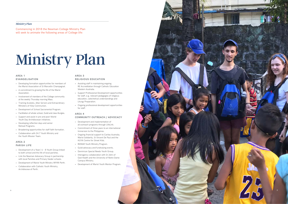## **AREA 1 EVANGELISATION**

- Developing formation opportunities for members of the Marist Association of St Marcellin Champagnat.
- A commitment to growing the life of the Marist Association.
- Involvement of members of the College community at the weekly Thursday morning Mass.
- Training Acolytes, Altar Servers and Extraordinary Ministers of Holy Communion.
- Development of School Sacramental Program.
- Facilitation of whole-school, Guild and class liturgies.
- Support and assist in pre and post-World Youth Day Archdiocesan initiatives.
- Developing reflection days and senior Retreat Programs.
- Broadening opportunities for staff faith formation.
- Collaboration with 24:7 Youth Ministry and the Youth Mission Team.

## **AREA 2 PARISH LIFE**

- Development of a Years' 6 8 Youth Group linked to both school and the life of local parishes.
- Link the Newman Advocacy Group in partnership with local Parishes and Primary feeder schools.
- Development of Marist Youth Ministry (MYM) Perth.
- Collaboration with Catholic Youth Ministry, Archdiocese of Perth.

Commencing in 2018 the Newman College Ministry Plan will seek to animate the following areas of College life:

## *Ministry Plan*

## **AREA 3**

## **RELIGIOUS EDUCATION**

- Assisting staff in maintaining ongoing RE Accreditation through Catholic Education Western Australia.
- Support Professional Development opportunities for staff, e.g. relevant pedagogies of religious education, catechetical understandings and Liturgy Preparation.
- Ongoing professional development opportunities for staff.

## **AREA 4**

## **COMMUNITY OUTREACH / ADVOCACY**

- Development and implementation of all outreach programs through LifeLink.
- Commitment of three years to an international Immersion to the Philippines.
- Ongoing financial support to Caritas Australia, Marist Solidarity, St Vincent De Paul and the KUYA Centre for Street Kids.
- REMAR Youth Ministry Program.
- 
- Guild advocacy and fundraising events. Dominican Special Needs Youth Group.
- Interagency collaboration with St John of God Health and the University of Notre Dame Campus Ministry.
- Development of Marist Youth Mentor Program.

## Ministry Plan

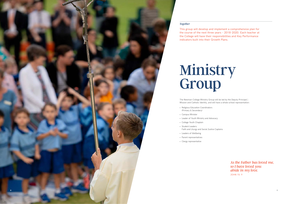This group will develop and implement a comprehensive plan for the course of the next three years – 2018-2020. Each teacher at the College will have their responsibilities and Key Performance indicators built into their Growth Plans.

## *Together*

*As the Father has loved me, so I have loved you: abide in my love.* JOHN 15: 9

The Newman College Ministry Group will be led by the Deputy Principal | Mission and Catholic Identity, and will have a whole school representation:

- Religious Education Coordinators (Primary & Secondary)
- Campus Minister
- Leader of Youth Ministry and Advocacy
- College Youth Chaplain
- Student Leaders:
- Leaders of Wellbeing
- Parent representatives
- Clergy representative



Faith and Liturgy and Social Justice Captains

## Ministry Group

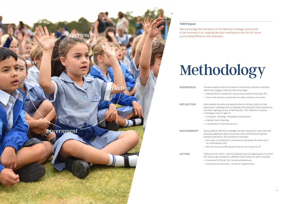We encourage the members of the Newman College community to be involved in an ongoing decision making process for all issues surrounding Ministry and Outreach.

• Community Service as advocates for others and the community.

- **EXPERIENCE** Facilitate opportunities for students to be directly involved in activities where they engage in faith life that encourages:
	- Lifelong Parish involvement, access to sacraments and prayer life.
- **REFLECTION** Give students the skills and opportunities to critically reflect on their experiences, enabling them to integrate the meaning of these experiences into their ongoing journey of faith and life. This reflection is to have a theological basis in light of:
	- Living faith, Theology, Philosophy and Scripture.
	- A worldview of informed opinions.
- **DISCERNMENT** Equip students with the knowledge and faith required to make informed personal judgements about issues they have confronted during their practical experience. Key questions to consider:
- **ACTION** 'Where to from here?'. Can this experience be an ongoing part of my life? Do I want to get involved at a different level? Areas for action could be: • Involvement in Parish Life, Service and Advocacy.



- 
- Catholic Social Teaching.
- 

- How does a commitment to sacraments and prayer life assist me in my contemporary life?
- Who are the ones suffering and what are the causes for it?

• Awareness and Education, Immersion Opportunities.

## *With Purpose*

## Methodology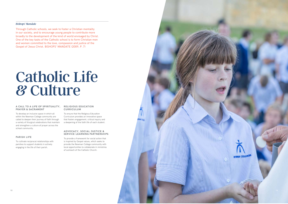Through Catholic schools, we seek to foster a Christian mentality in our society, and to encourage young people to contribute more broadly to the development of the kind of world envisaged by Christ. One of the key tasks of the Catholic school is to form Christian men and women committed to the love, compassion and justice of the Gospel of Jesus Christ. BISHOPS' MANDATE (2009, P. 7 )

## *Bishops' Mandate*

### **A CALL TO A LIFE OF SPIRITUALITY, PRAYER & SACRAMENT**

To develop an inclusive space in which all within the Newman College community are called to deepen their journey of faith through a variety of liturgical celebrations that maintain and strengthen a culture of prayer across the school community.

## **PARISH LIFE**

To cultivate reciprocal relationships with parishes to support students in actively engaging in the life of their parish.

### **RELIGIOUS EDUCATION CURRICULUM**

To ensure that the Religious Education Curriculum provides an innovative space that fosters engagement, critical inquiry and a deepening of the faith life of each student.

### **ADVOCACY, SOCIAL JUSTICE & SERVICE-LEARNING PARTNERSHIPS**

To provide a framework for social action that is inspired by Gospel values, which seeks to provide the Newman College community with local opportunities to collaborate in ministries of outreach of the Catholic Church.

## Catholic Life *&* Culture

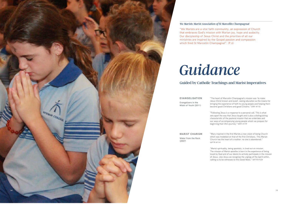## Guided by Catholic Teachings and Marist Imperatives

"We Marists are a vital faith community, an expression of Church that embraces God's mission with Marian joy, hope and audacity. Our discipleship of Jesus Christ and the priorities of all our ministries are inspired by the Gospel passion and compassion which fired St Marcellin Champagnat". (P.6)

## *We Marists: Marist Association of St Marcellin Champagnat*

"The heart of Marcellin Champagnat's mission was 'to make Jesus Christ known and loved', seeing education as the means for bringing the experience of faith to young people and helping them become good Christians and good Citizens." EMY #110

"Following Jesus is a response to a personal call. This is what sets apart the way that Jesus taught and is also a distinguishing characteristic of the pastoral mission that we undertake and our ways of accompanying young people whom we prepare for beginning their life's journey." EMY #179

## **EVANGELISATION**

Evangelizers in the Midst of Youth (2011)

> "Mary inspired in the first Marists a new vision of being Church which was modelled on that of the first Christians. This Marian Church has the heart of a mother: no one is abandoned."

WFTR #114

"Marist spirituality, being apostolic, is lived out on mission. The mission of Marist apostles is born in the experience of being loved by God and of our desire to actively participate in the mission of Jesus. Like Jesus we recognise the urgings of the Spirit within, calling us to be witnesses to this Good News." WFTR #124



## **MARIST CHARISM**

Water from the Rock (2007)

## *Guidance*

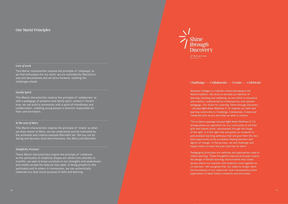This Marist characteristic inspires the principle of 'challenge' as we find enthusiasm for our work: we are reminded by Marcellin's zeal and devotedness and we strive forward, relishing the challenges ahead.

## *Love of work*

## Our Marist Principles

This Marist characteristic inspires the principle of 'collaborate' as with a pedagogy of presence and family spirit, united in Christ's love, we can build a community with a spirit of friendliness and collaboration, enabling young people to become responsible for their own formation.

## *Family Spirit*

These Marist characteristics inspire the principle of 'celebrate' as the spirituality of simplicity shapes our whole lives whereby in humility, we seek to know ourselves in our strengths and weaknesses and readily accept the help we may need. In being present to this spirituality and to others in communion, we can authentically celebrate our dual moral purpose of faith and learning.



### *Simplicity, Presence*

This Marist characteristic inspires the principle of 'create' as when we draw nearer to Mary, we can understand and be motivated by the animated and creative example Marcellin set. We too can be daring and decisive, bold and innovative, like Mary and Marcellin.

## *In the way of Mary*

Newman College is a Catholic school educating in the Marist tradition. We strive to animate our delivery of learning, teaching and wellbeing, as one which is innovative and creative, underpinned by contemporary and relevant pedagogy. Our Vision for Learning 'Shine through Discovery' – Let your light shine (Matthew 5:16) inspires our faith and learning community to Challenge, Collaborate, Create and Celebrate who we are and what we seek to achieve.

The scripture passage Let your light shine (Matthew 5:16) encapsulates our aspiration for our community to let their gifts and talents shine, represented through the image of the light. It is this light that will guide our students to personalised learning pathways that will give them the very best opportunity to be successful lifelong learners and agents of change. In the process, we will challenge and inspire them to reach the plan God has for them.

Pedagogical principles are methods and approaches used to reflect learning. These thoughtful relevant principles inspire the design of flexible learning environments that create spaces where our teachers and students come together as co-learners. We recognise that 'our walls no longer mark the boundaries of our classroom' and consequently active exploration of ideas fosters creativity and encounter.

## Challenge—Collaborate—Create—Celebrate